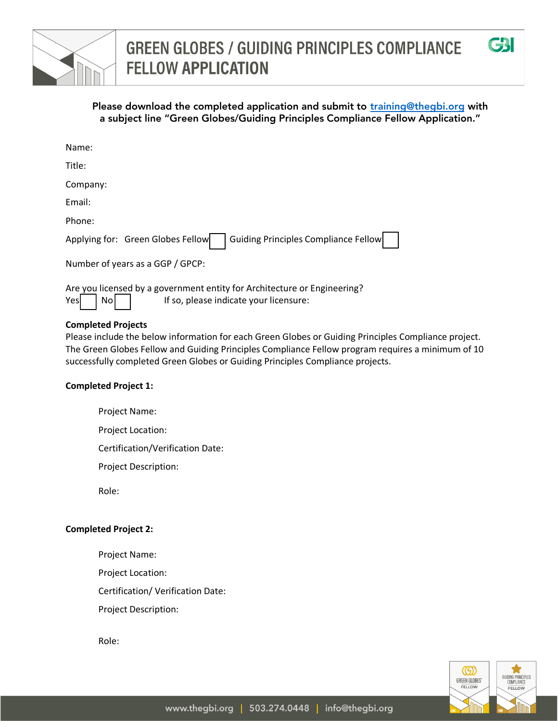



| Name:                                                                            |
|----------------------------------------------------------------------------------|
| Title:                                                                           |
| Company:                                                                         |
| Email:                                                                           |
| Phone:                                                                           |
| <b>Guiding Principles Compliance Fellow</b><br>Applying for: Green Globes Fellow |
| Number of years as a GGP / GPCP:                                                 |

Are you licensed by a government entity for Architecture or Engineering?  $Yes \mid No \mid$  | If so, please indicate your licensure:

## **Completed Projects**

Please include the below information for each Green Globes or Guiding Principles Compliance project. The Green Globes Fellow and Guiding Principles Compliance Fellow program requires a minimum of 10 successfully completed Green Globes or Guiding Principles Compliance projects.

### **Completed Project 1:**

Project Name:

Project Location:

Certification/Verification Date:

Project Description:

Role:

### **Completed Project 2:**

Project Name:

Project Location:

Certification/ Verification Date:

Project Description:

Role:



**G3I**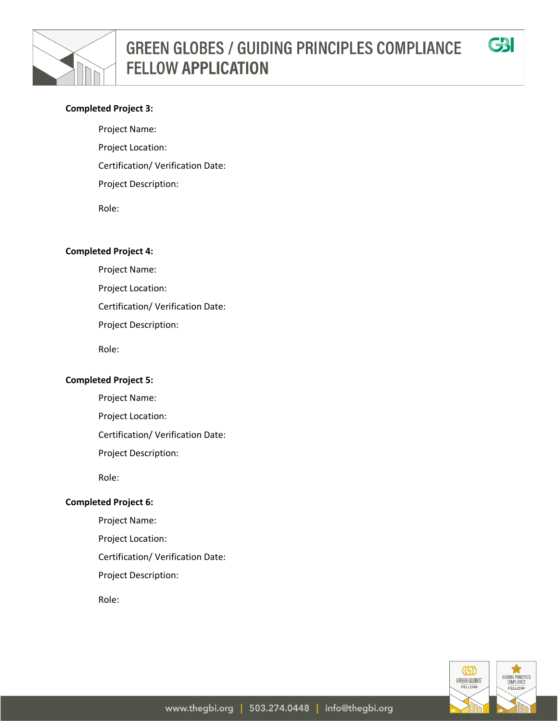

### **Completed Project 3:**

Project Name: Project Location: Certification/ Verification Date: Project Description: Role:

**Completed Project 4:**

Project Name: Project Location:

Certification/ Verification Date:

Project Description:

Role:

#### **Completed Project 5:**

Project Name:

Project Location:

Certification/ Verification Date:

Project Description:

Role:

#### **Completed Project 6:**

Project Name:

Project Location:

Certification/ Verification Date:

Project Description:

Role:



CBI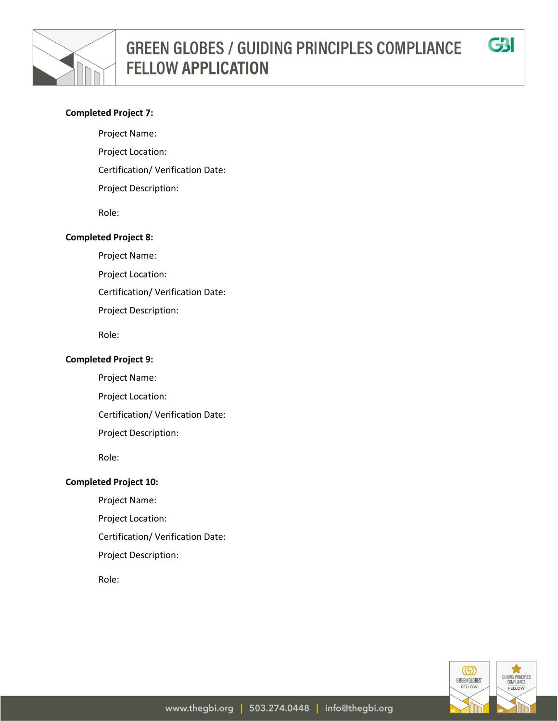

### **Completed Project 7:**

Project Name:

- Project Location:
- Certification/ Verification Date:
- Project Description:

Role:

#### **Completed Project 8:**

Project Name:

Project Location:

Certification/ Verification Date:

Project Description:

Role:

#### **Completed Project 9:**

Project Name:

Project Location:

Certification/ Verification Date:

Project Description:

Role:

### **Completed Project 10:**

Project Name:

Project Location:

Certification/ Verification Date:

Project Description:

Role:



CBI